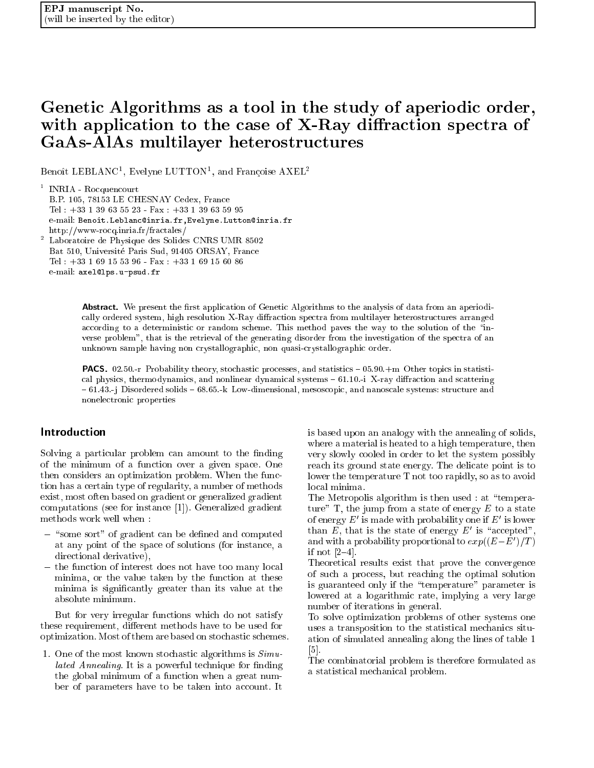# Genetic Algorithms as a tool in the study of aperiodic order, with application to the case of X-Ray diffraction spectra of GaAs-AlAs multilayer heterostructures

Benoît LEBLANC<sup>1</sup>, Evelyne LUTTON<sup>1</sup>, and Françoise AXEL<sup>2</sup>

<sup>1</sup> INRIA - Rocquencourt B.P. 105, 78153 LE CHESNAY Cedex, France Tel:  $+33$  1 39 63 55 23 - Fax:  $+33$  1 39 63 59 95 e-mail: Benoit.Leblanc@inria.fr, Evelyne.Lutton@inria.fr http://www-rocq.inria.fr/fractales/ Laboratoire de Physique des Solides CNRS UMR 8502

Bat 510, Université Paris Sud, 91405 ORSAY, France  $\mbox{Tel}: +33$ 1 69 15 53 96 - $\mbox{Fax}: +33$  1 69 15 60 86

e-mail: axel@lps.u-psud.fr

**Abstract.** We present the first application of Genetic Algorithms to the analysis of data from an aperiodically ordered system, high resolution X-Ray diffraction spectra from multilayer heterostructures arranged according to a deterministic or random scheme. This method payes the way to the solution of the "inverse problem", that is the retrieval of the generating disorder from the investigation of the spectra of an unknown sample having non crystallographic, non quasi-crystallographic order.

**PACS.** 02.50.-r Probability theory, stochastic processes, and statistics  $-$  05.90.+m Other topics in statistical physics, thermodynamics, and nonlinear dynamical systems – 61.10.-i X-ray diffraction and scattering - 61.43.-j Disordered solids - 68.65.-k Low-dimensional, mesoscopic, and nanoscale systems: structure and nonelectronic properties

# Introduction

Solving a particular problem can amount to the finding of the minimum of a function over a given space. One then considers an optimization problem. When the function has a certain type of regularity, a number of methods exist, most often based on gradient or generalized gradient computations (see for instance [1]). Generalized gradient methods work well when :

- "some sort" of gradient can be defined and computed at any point of the space of solutions (for instance, a directional derivative),
- the function of interest does not have too many local minima, or the value taken by the function at these minima is significantly greater than its value at the absolute minimum.

But for very irregular functions which do not satisfy these requirement, different methods have to be used for optimization. Most of them are based on stochastic schemes.

1. One of the most known stochastic algorithms is  $Simu$ *lated Annealing*. It is a powerful technique for finding the global minimum of a function when a great number of parameters have to be taken into account. It is based upon an analogy with the annealing of solids, where a material is heated to a high temperature, then very slowly cooled in order to let the system possibly reach its ground state energy. The delicate point is to lower the temperature T not too rapidly, so as to avoid local minima.

The Metropolis algorithm is then used : at "temperature" T, the jump from a state of energy  $E$  to a state of energy  $E'$  is made with probability one if  $E'$  is lower than  $E$ , that is the state of energy  $E'$  is "accepted", and with a probability proportional to  $exp((E-E')/T)$ if not  $[2-4]$ .

Theoretical results exist that prove the convergence of such a process, but reaching the optimal solution is guaranteed only if the "temperature" parameter is lowered at a logarithmic rate, implying a very large number of iterations in general.

To solve optimization problems of other systems one uses a transposition to the statistical mechanics situation of simulated annealing along the lines of table 1  $\lceil 5 \rceil$ .

The combinatorial problem is therefore formulated as a statistical mechanical problem.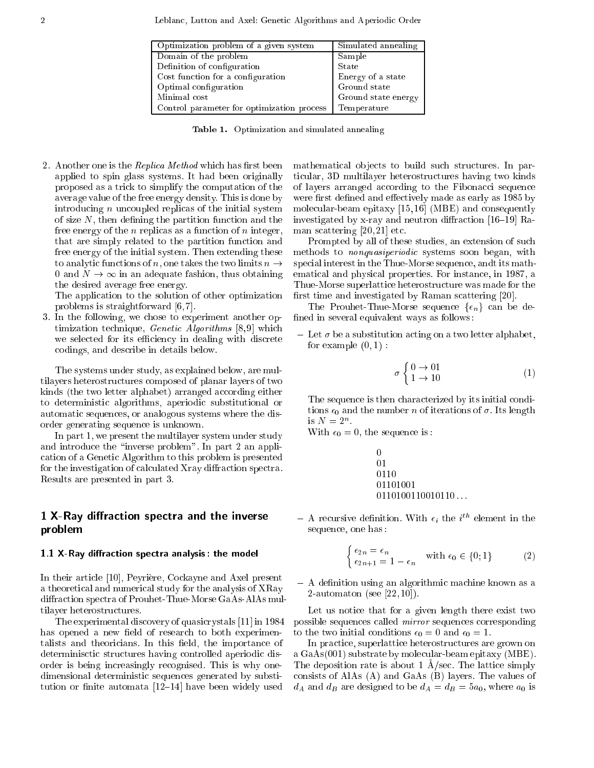2 Leblan
, Lutton and Axel: Geneti Algorithms and Aperiodi Order

| Optimization problem of a given system     | Simulated annealing |
|--------------------------------------------|---------------------|
| Domain of the problem                      | Sample              |
| Definition of configuration                | State               |
| Cost function for a configuration          | Energy of a state   |
| Optimal configuration                      | Ground state        |
| Minimal cost                               | Ground state energy |
| Control parameter for optimization process | Temperature         |

Table 1. Optimization and simulated annealing

2. Another one is the  $Replica\; Method$  which has first been applied to spin glass systems. It had been originally proposed as a tri
k to simplify the omputation of the average value of the free energy density. This is done by introducing  $n$  uncoupled replicas of the initial system of size  $N$ , then defining the partition function and the free energy of the *n* replicas as a function of *n* integer, that are simply related to the partition function and free energy of the initial system. Then extending these to analytic functions of n, one takes the two limits  $n \to$ 0 and  $N \to \infty$  in an adequate fashion, thus obtaining the desired average free energy.

The appli
ation to the solution of other optimization problems is straightforward  $[6, 7]$ .

3. In the following, we hose to experiment another optimization technique, Genetic Algorithms [8,9] which we selected for its efficiency in dealing with discrete odings, and des
ribe in details below.

The systems under study, as explained below, are multilayers heterostructures composed of planar layers of two kinds (the two letter alphabet) arranged according either to deterministic algorithms, aperiodic substitutional or automatic sequences, or analogous systems where the disorder generating sequen
e is unknown.

In part 1, we present the multilayer system under study and introduce the "inverse problem". In part 2 an appliation of a Geneti Algorithm to this problem is presented for the investigation of calculated Xray diffraction spectra. Results are presented in part 3.

## 1 X-Ray diffraction spectra and the inverse problem

#### 1.1 X-Ray diffraction spectra analysis: the model

In their article [10], Peyrière, Cockayne and Axel present a theoreti
al and numeri
al study for the analysis of XRay diffraction spectra of Prouhet-Thue-Morse GaAs-AlAs multilayer heterostru
tures.

The experimental discovery of quasicrystals [11] in 1984 has opened a new field of research to both experimentalists and theoricians. In this field, the importance of determinisctic structures having controlled aperiodic disorder is being in
reasingly re
ognised. This is why onedimensional deterministic sequences generated by substitution or finite automata  $[12-14]$  have been widely used

mathematical objects to build such structures. In parti
ular, 3D multilayer heterostru
tures having two kinds of layers arranged according to the Fibonacci sequence were first defined and effectively made as early as 1985 by molecular-beam epitaxy  $[15, 16]$  (MBE) and consequently investigated by x-ray and neutron diffraction  $[16–19]$  Raman scattering  $[20, 21]$  etc.

Prompted by all of these studies, an extension of su
h methods to *nonquasiperiodic* systems soon began, with spe
ial interest in the Thue-Morse sequen
e, andt its mathematical and physical properties. For instance, in 1987, a Thue-Morse superlatti
e heterostru
ture was made for the first time and investigated by Raman scattering [20].

The Prouhet-Thue-Morse sequence  $\{\epsilon_n\}$  can be defined in several equivalent ways as follows:

Let  $\sigma$  be a substitution acting on a two letter alphabet, for example  $(0, 1)$ :

$$
\sigma \begin{cases} 0 \to 01 \\ 1 \to 10 \end{cases} \tag{1}
$$

The sequence is then characterized by its initial conditions  $\epsilon_0$  and the number n of iterations of  $\sigma$ . Its length  $15/V = 2$ .

With  $\epsilon_0 = 0$ , the sequence is:

 $-$  A recursive definition. With  $\epsilon_i$  the  $i$  element in the sequence, one has:

$$
\begin{cases} \epsilon_{2n} = \epsilon_n \\ \epsilon_{2n+1} = 1 - \epsilon_n \end{cases} \text{ with } \epsilon_0 \in \{0; 1\} \tag{2}
$$

 $-$  A definition using an algorithmic machine known as a 2-automaton (see  $[22, 10]$ ).

Let us notice that for a given length there exist two possible sequen
es alled mirror sequen
es orresponding to the two initial conditions  $\epsilon_0 = 0$  and  $\epsilon_0 = 1$ .

In practice, superlattice heterostructures are grown on a GaAs(001) substrate by mole
ular-beam epitaxy (MBE). The deposition rate is about 1  $\AA$ /sec. The lattice simply onsists of AlAs (A) and GaAs (B) layers. The values of  $d_A$  and  $d_B$  are designed to be  $d_A = d_B = 5a_0$ , where  $a_0$  is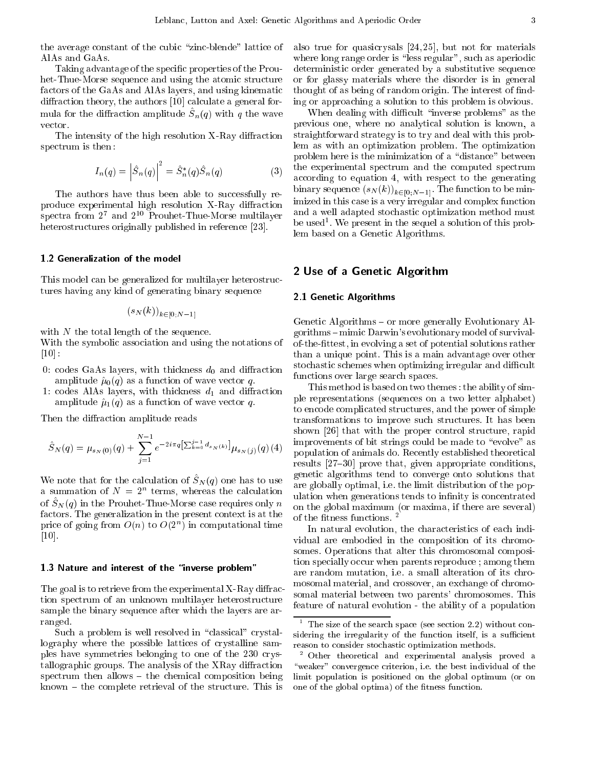the average constant of the cubic "zinc-blende" lattice of AlAs and GaAs.

Taking advantage of the specific properties of the Prouhet-Thue-Morse sequence and using the atomic structure factors of the GaAs and AlAs layers, and using kinematic diffraction theory, the authors [10] calculate a general for $m$  and the difference amplitude  $\sigma_n(q)$  with q the wave vector.

The intensity of the high resolution X-Ray diffraction spe
trum is then :

$$
I_n(q) = |\hat{S}_n(q)|^2 = \hat{S}_n^*(q)\hat{S}_n(q)
$$
 (3)

The authors have thus been able to successfully reproduce experimental high resolution X-Ray diffraction spe
tra from 27 and 210 Prouhet-Thue-Morse multilayer heterostructures originally published in reference [23].

#### 1.2 Generalization of the model

This model can be generalized for multilayer heterostructures having any kind of generating binary sequen
e

$$
(s_N(k))_{k\in[0;N-1]}
$$

with  $N$  the total length of the sequence.

With the symbolic association and using the notations of  $[10]$ :

- 0: codes GaAs layers, with thickness  $d_0$  and diffraction amplitude  $\hat{\mu}_0(q)$  as a function of wave vector q.
- 1: codes AlAs layers, with thickness  $d_1$  and diffraction amplitude  $\hat{\mu}_1(q)$  as a function of wave vector q.

Then the diffraction amplitude reads

$$
\hat{S}_{N}(q) = \mu_{s_{N}(0)}(q) + \sum_{j=1}^{N-1} e^{-2i\pi q \left[\sum_{k=0}^{j-1} d_{s_{N}(k)}\right]} \mu_{s_{N}(j)}(q) (4)
$$

We note that for the calculation of  $\mathcal{D}_N(q)$  one has to use a summation of  $N = 2$  defins, whereas the calculation or  $D_N(q)$  in the Prouhet-Thue-Morse case requires only  $n$ factors. The generalization in the present context is at the price of going from  $O(n)$  to  $O(2^{-n})$  in computational time  $[10]$ .

#### 1.3 Nature and interest of the \inverse problem"

The goal is to retrieve from the experimental X-Ray diffraction spe
trum of an unknown multilayer heterostru
ture sample the binary sequen
e after whi
h the layers are arranged.

Such a problem is well resolved in "classical" crystallography where the possible lattices of crystalline samples have symmetries belonging to one of the 230 crystallographic groups. The analysis of the XRay diffraction spectrum then allows - the chemical composition being  $known - the complete retrieval of the structure. This is$  also true for quasicrysals  $[24, 25]$ , but not for materials where long range order is "less regular", such as aperiodic deterministic order generated by a substitutive sequence or for glassy materials where the disorder is in general thought of as being of random origin. The interest of finding or approa
hing a solution to this problem is obvious.

When dealing with difficult "inverse problems" as the previous one, where no analyti
al solution is known, a straightforward strategy is to try and deal with this problem as with an optimization problem. The optimization problem here is the minimization of a "distance" between the experimental spectrum and the computed spectrum according to equation 4, with respect to the generating binary sequence  $(s_N(k))_{k\in[0,N-1]}$ . The function to be minimized in this case is a very irregular and complex function and a well adapted sto
hasti optimization method must be used<sup>-</sup>. We present in the sequel a solution of this problem based on a Geneti Algorithms.

## 2 Use of a Geneti Algorithm

#### 2.1 Geneti Algorithms

Genetic Algorithms – or more generally Evolutionary Algorithms { mimi Darwin's evolutionary model of survivalof-the-ttest, in evolving a set of potential solutions rather than a unique point. This is a main advantage over other stochastic schemes when optimizing irregular and difficult functions over large search spaces.

This method is based on two themes : the ability of simple representations (sequen
es on a two letter alphabet) to encode complicated structures, and the power of simple transformations to improve such structures. It has been shown [26] that with the proper control structure, rapid improvements of bit strings could be made to "evolve" as population of animals do. Re
ently established theoreti
al results  $[27-30]$  prove that, given appropriate conditions, geneti algorithms tend to onverge onto solutions that are globally optimal, i.e. the limit distribution of the population when generations tends to infinity is concentrated on the global maximum (or maxima, if there are several) of the fitness functions.<sup>2</sup>

In natural evolution, the characteristics of each individual are embodied in the omposition of its hromosomes. Operations that alter this chromosomal composition specially occur when parents reproduce; among them are random mutation, i.e. a small alteration of its hromosomal material, and crossover, an exchange of chromosomal material between two parents' chromosomes. This feature of natural evolution - the ability of a population

The size of the search space (see section 2.2) without considering the irregularity of the function itself, is a sufficient reason to onsider sto
hasti optimization methods.

<sup>2</sup> Other theoreti
al and experimental analysis proved a "weaker" convergence criterion, i.e. the best individual of the limit population is positioned on the global optimum (or on one of the global optima) of the fitness function.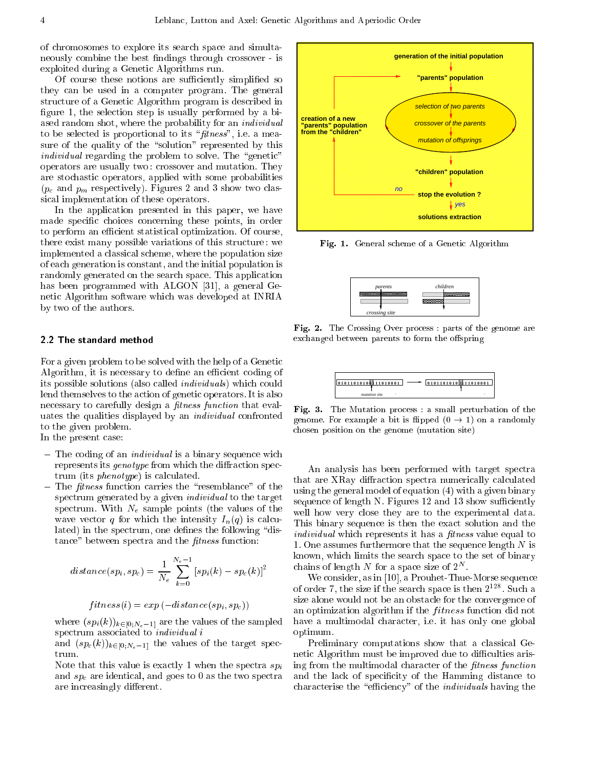of hromosomes to explore its sear
h spa
e and simultaneously combine the best findings through crossover - is exploited during a Geneti Algorithms run.

Of course these notions are sufficiently simplified so they an be used in a omputer program. The general structure of a Genetic Algorithm program is described in figure 1, the selection step is usually performed by a biased random shot, where the probability for an individual to be selected is proportional to its "fitness", i.e. a measure of the quality of the "solution" represented by this *individual* regarding the problem to solve. The "genetic" operators are usually two: crossover and mutation. They are sto
hasti operators, applied with some probabilities  $(p_c \text{ and } p_m \text{ respectively})$ . Figures 2 and 3 show two classi
al implementation of these operators.

In the application presented in this paper, we have made specific choices concerning these points, in order to perform an efficient statistical optimization. Of course, there exist many possible variations of this structure: we implemented a lassi
al s
heme, where the population size of ea
h generation is onstant, and the initial population is randomly generated on the sear
h spa
e. This appli
ation has been programmed with  $ALGON$  [31], a general Geneti Algorithm software whi
h was developed at INRIA by two of the authors.

#### 2.2 The standard method

For a given problem to be solved with the help of a Geneti Algorithm, it is necessary to define an efficient coding of its possible solutions (also called *individuals*) which could lend themselves to the action of genetic operators. It is also necessary to carefully design a *fitness function* that evaluates the qualities displayed by an *individual* confronted to the given problem.

In the present ase:

- The coding of an *individual* is a binary sequence wich represents its *genotype* from which the diffraction spectrum (its *phenotype*) is calculated.
- $-$  The *fitness* function carries the "resemblance" of the spectrum generated by a given *individual* to the target spectrum. With  $N_e$  sample points (the values of the wave vector q for which the intensity  $I_n(q)$  is calculated) in the spectrum, one defines the following "distance" between spectra and the *fitness* function:

distance
$$
(sp_i, sp_c) = \frac{1}{N_e} \sum_{k=0}^{N_e - 1} [sp_i(k) - sp_c(k)]^2
$$

$$
fitness(i) = exp(-distance(sp_i, sp_c))
$$

where  $(sp_i(k))_{k \in [0;N_e-1]}$  are the values of the sampled spe
trum asso
iated to individual <sup>i</sup>

and  $(sp_c(k))_{k \in [0;N_e-1]}$  the values of the target spectrum.

Note that this value is exactly 1 when the spectra  $sp_i$ and  $sp_c$  are identical, and goes to 0 as the two spectra are increasingly different.



Fig. 1. General s
heme of a Geneti Algorithm



Fig. 2. The Crossing Over pro
ess : parts of the genome are exchanged between parents to form the offspring



Fig. 3. The Mutation pro
ess : a small perturbation of the genome. For example a bit is flipped  $(0 \rightarrow 1)$  on a randomly hosen position on the genome (mutation site)

An analysis has been performed with target spectra that are XRay diffraction spectra numerically calculated using the general model of equation (4) with a given binary sequence of length N. Figures 12 and 13 show sufficiently well how very close they are to the experimental data. This binary sequen
e is then the exa
t solution and the *individual* which represents it has a *fitness* value equal to 1. One assumes furthermore that the sequence length  $N$  is known, whi
h limits the sear
h spa
e to the set of binary chains of length TV for a space size of  $2^{\circ}$ .

We consider, as in  $[10]$ , a Prouhet-Thue-Morse sequence of order  $\ell$ , the size if the search space is then  $2^{++}$ . Such a size alone would not be an obstacle for the convergence of an optimization algorithm if the *fitness* function did not have a multimodal hara
ter, i.e. it has only one global optimum.

Preliminary computations show that a classical Genetic Algorithm must be improved due to difficulties arising from the multimodal character of the *fitness function* and the lack of specificity of the Hamming distance to characterise the "efficiency" of the *individuals* having the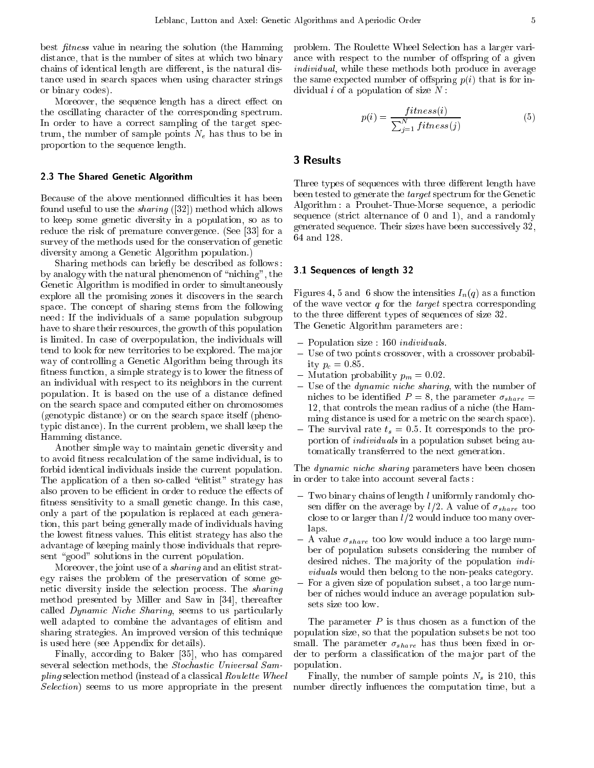best *fitness* value in nearing the solution (the Hamming distan
e, that is the number of sites at whi
h two binary chains of identical length are different, is the natural distance used in search spaces when using character strings or binary odes).

Moreover, the sequence length has a direct effect on the oscillating character of the corresponding spectrum. In order to have a correct sampling of the target spectrum, the number of sample points  $N_e$  has thus to be in proportion to the sequen
e length.

#### 2.3 The Shared Geneti Algorithm

Because of the above mentionned difficulties it has been found useful to use the *sharing*  $([32])$  method which allows to keep some geneti diversity in a population, so as to reduce the risk of premature convergence. (See [33] for a survey of the methods used for the conservation of genetic diversity among a Geneti Algorithm population.)

Sharing methods can briefly be described as follows: by analogy with the natural phenomenon of "niching", the Genetic Algorithm is modified in order to simultaneously explore all the promising zones it discovers in the search space. The concept of sharing stems from the following need : If the individuals of a same population subgroup have to share their resour
es, the growth of this population is limited. In ase of overpopulation, the individuals will tend to look for new territories to be explored. The major way of controlling a Genetic Algorithm being through its fitness function, a simple strategy is to lower the fitness of an individual with respe
t to its neighbors in the urrent population. It is based on the use of a distance defined on the sear
h spa
e and omputed either on hromosomes (genotypi distan
e) or on the sear
h spa
e itself (phenotypi distan
e). In the urrent problem, we shall keep the Hamming distan
e.

Another simple way to maintain geneti diversity and to avoid fitness recalculation of the same individual, is to forbid identical individuals inside the current population. The application of a then so-called "elitist" strategy has also proven to be efficient in order to reduce the effects of fitness sensitivity to a small genetic change. In this case, only a part of the population is replaced at each generation, this part being generally made of individuals having the lowest fitness values. This elitist strategy has also the advantage of keeping mainly those individuals that represent "good" solutions in the current population.

Moreover, the joint use of a sharing and an elitist strategy raises the problem of the preservation of some genetic diversity inside the selection process. The *sharing* method presented by Miller and Saw in  $[34]$ , thereafter called Dynamic Niche Sharing, seems to us particularly well adapted to ombine the advantages of elitism and sharing strategies. An improved version of this technique is used here (see Appendix for details).

Finally, according to Baker [35], who has compared several selection methods, the Stochastic Universal Sampling selection method (instead of a classical Roulette Wheel Selection) seems to us more appropriate in the present

problem. The Roulette Wheel Sele
tion has a larger variance with respect to the number of offspring of a given individual, while these methods both produce in average the same expected number of offspring  $p(i)$  that is for individual i of a population of size  $N$ :

$$
p(i) = \frac{fitness(i)}{\sum_{j=1}^{N} fitness(j)}
$$
 (5)

#### 3 Results

Three types of sequences with three different length have been tested to generate the *target* spectrum for the Genetic Algorithm: a Prouhet-Thue-Morse sequence, a periodic sequen
e (stri
t alternan
e of 0 and 1), and a randomly generated sequence. Their sizes have been successively 32, 64 and 128.

#### 3.1 Sequen
es of length 32

Figures 4, 5 and 6 show the intensities  $I_n(q)$  as a function of the wave vector  $q$  for the *target* spectra corresponding to the three different types of sequences of size 32. The Geneti Algorithm parameters are :

- { Population size : 160 individuals.
- Use of two points crossover, with a crossover probability  $p_c = 0.85$ .
- $-$  Mutation probability  $p_m = 0.02$ .
- Use of the *dynamic niche sharing*, with the number of niches to be identified  $P = 8$ , the parameter  $\sigma_{share} =$ 12, that ontrols the mean radius of a ni
he (the Hamming distance is used for a metric on the search space).
- The survival rate  $t_s = 0.5$ . It corresponds to the proportion of individuals in a population subset being automati
ally transferred to the next generation.

The *dynamic niche sharing* parameters have been chosen in order to take into account several facts:

- $-$  Two binary chains of length l uniformly randomly chosen differ on the average by  $l/2$ . A value of  $\sigma_{share}$  too close to or larger than  $l/2$  would induce too many overlaps.
- A value  $\sigma_{share}$  too low would induce a too large number of population subsets onsidering the number of desired niches. The majority of the population *individuals* would then belong to the non-peaks category.
- { For a given size of population subset, a too large number of ni
hes would indu
e an average population subsets size too low.

The parameter  $P$  is thus chosen as a function of the population size, so that the population subsets be not too small. The parameter  $\sigma_{share}$  has thus been fixed in order to perform a classification of the major part of the population.

Finally, the number of sample points  $N_s$  is 210, this number directly influences the computation time, but a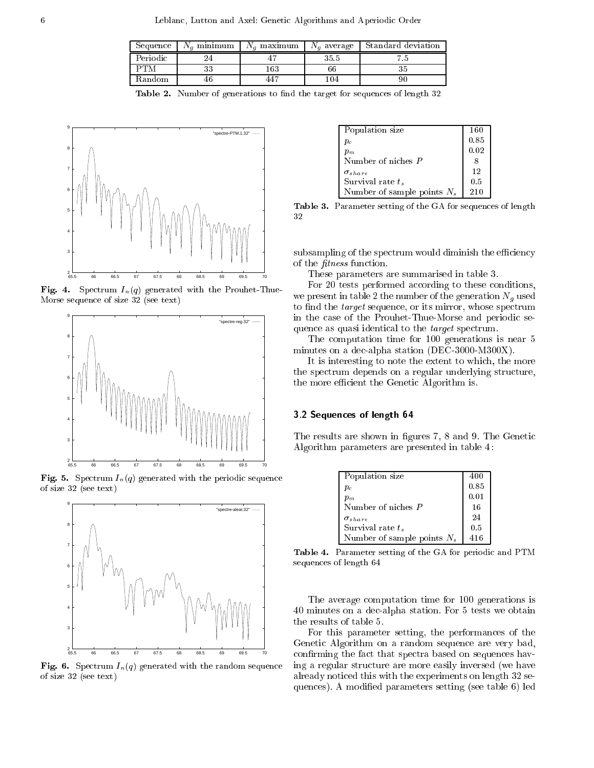| Sequence | $N_a$ minimum | $N_a$ maximum | $N_a$ average | Standard deviation |
|----------|---------------|---------------|---------------|--------------------|
| Periodic |               |               | 35.5          | .                  |
|          | ບບ            | 163           | b c           | ഄഄ                 |
| Random   | 46            | 447           | 104           | 90                 |

Table 2. Number of generations to nd the target for sequen
es of length 32



Fig. 4. Spe
trum In(q) generated with the Prouhet-Thue-Morse sequen
e of size 32 (see text)



Fig. 5. Spe
trum In(q) generated with the periodi sequen
e of size 32 (see text)



 $-$  -  $\sim$   $\sim$   $\sim$   $\sim$   $\sim$   $\sim$   $\sim$   $\sim$   $\sim$   $\sim$   $\sim$   $\sim$   $\sim$   $\sim$   $\sim$   $\sim$   $\sim$   $\sim$   $\sim$   $\sim$   $\sim$   $\sim$   $\sim$   $\sim$ of size 32 (see text)

| Population size               | 160  |
|-------------------------------|------|
| $p_c$                         | 0.85 |
| $p_m$                         | 0.02 |
| Number of niches P            |      |
| $\sigma_{share}$              | 12   |
| Survival rate $t_s$           | 0.5  |
| Number of sample points $N_s$ | 210  |

Table 3. Parameter setting of the GA for sequen
es of length 32

subsampling of the spectrum would diminish the efficiency of the *fitness* function.

These parameters are summarised in table 3.

For 20 tests performed according to these conditions, we present in table 2 the number of the generation  $N_q$  used to find the *target* sequence, or its mirror, whose spectrum in the ase of the Prouhet-Thue-Morse and periodi sequence as quasi identical to the *target* spectrum.

The omputation time for 100 generations is near 5 minutes on a dec-alpha station (DEC-3000-M300X).

It is interesting to note the extent to whi
h, the more the spe
trum depends on a regular underlying stru
ture, the more efficient the Genetic Algorithm is.

## 3.2 Sequen
es of length 64

The results are shown in figures 7, 8 and 9. The Genetic Algorithm parameters are presented in table 4 :

| Population size               | 400  |
|-------------------------------|------|
| $p_c$                         | 0.85 |
| $p_m$                         | 0.01 |
| Number of niches P            | 16   |
| $\sigma_{share}$              | 24   |
| Survival rate $t_s$           | 0.5  |
| Number of sample points $N_s$ | 416  |

Table 4. Parameter setting of the GA for periodi and PTM sequen
es of length 64

The average omputation time for 100 generations is 40 minutes on a de
-alpha station. For 5 tests we obtain the results of table 5.

For this parameter setting, the performan
es of the Geneti Algorithm on a random sequen
e are very bad, confirming the fact that spectra based on sequences having a regular stru
ture are more easily inversed (we have already noti
ed this with the experiments on length 32 sequen
es). A modied parameters setting (see table 6) led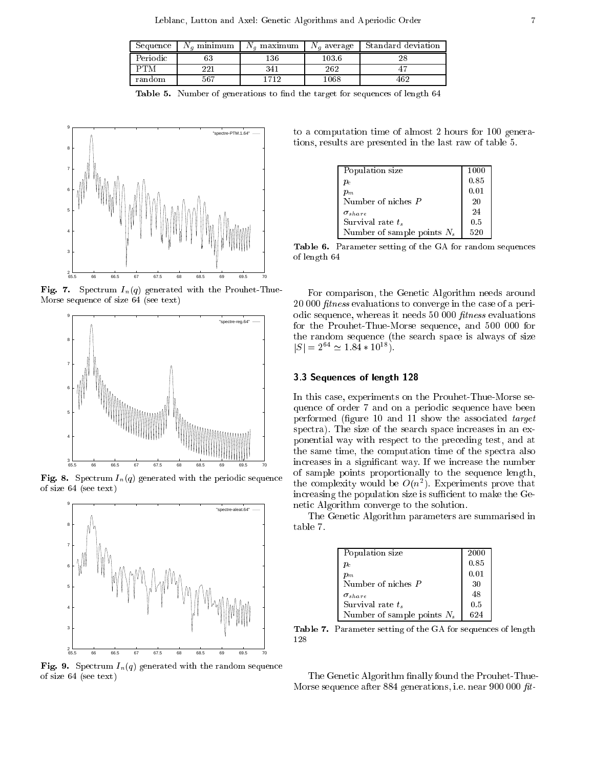| Sequence | $N_a$ minimum | /Va maximum | $N_a$ average | Standard deviation |
|----------|---------------|-------------|---------------|--------------------|
| Periodic | υυ            | 136         | $103.6\,$     |                    |
|          | າາ1           | 341         | 262           |                    |
| random   | 567           | 719         | 1068          | 462                |

Table 5. Number of generations to nd the target for sequen
es of length 64



Fig. 7. Spe
trum In(q) generated with the Prouhet-Thue-Morse sequen
e of size 64 (see text)



Fig. 8. Spe
trum In(q) generated with the periodi sequen
e of size 64 (see text)



 $-$  -  $\sim$   $\sim$   $\sim$   $\sim$   $\sim$   $\sim$   $\sim$   $\sim$   $\sim$   $\sim$   $\sim$   $\sim$   $\sim$   $\sim$   $\sim$   $\sim$   $\sim$   $\sim$   $\sim$   $\sim$   $\sim$   $\sim$   $\sim$   $\sim$ of size 64 (see text)

to a omputation time of almost 2 hours for 100 generations, results are presented in the last raw of table 5.

| Population size               | 1000 |
|-------------------------------|------|
| $p_c$                         | 0.85 |
| $p_m$                         | 0.01 |
| Number of niches P            | 20   |
| $\sigma_{sheare}$             | 24   |
| Survival rate $t_s$           | 0.5  |
| Number of sample points $N_s$ | 520  |

Table 6. Parameter setting of the GA for random sequen
es of length 64

For omparison, the Geneti Algorithm needs around 20 000 *fitness* evaluations to converge in the case of a periodic sequence, whereas it needs 50 000 *fitness* evaluations for the Prouhet-Thue-Morse sequen
e, and 500 000 for the random sequen
e (the sear
h spa
e is always of size  $|S| = 2^{64} \simeq 1.84 * 10^{18}$ .

#### 3.3 Sequen
es of length 128

In this ase, experiments on the Prouhet-Thue-Morse sequence of order 7 and on a periodic sequence have been performed (figure 10 and 11 show the associated *target* spectra). The size of the search space increases in an exponential way with respe
t to the pre
eding test, and at the same time, the omputation time of the spe
tra also increases in a significant way. If we increase the number of sample points proportionally to the sequen
e length, the complexity would be  $O(n^2)$ . Experiments prove that increasing the population size is sufficient to make the Geneti Algorithm onverge to the solution.

The Geneti Algorithm parameters are summarised in table 7.

| Population size               | 2000 |
|-------------------------------|------|
| $p_c$                         | 0.85 |
| $p_m$                         | 0.01 |
| Number of niches P            | 30   |
| $\sigma_{sheare}$             | 48   |
| Survival rate $t_s$           | 0.5  |
| Number of sample points $N_s$ |      |

Table 7. Parameter setting of the GA for sequen
es of length 128

The Genetic Algorithm finally found the Prouhet-Thue-Morse sequence after 884 generations, i.e. near 900 000 fit-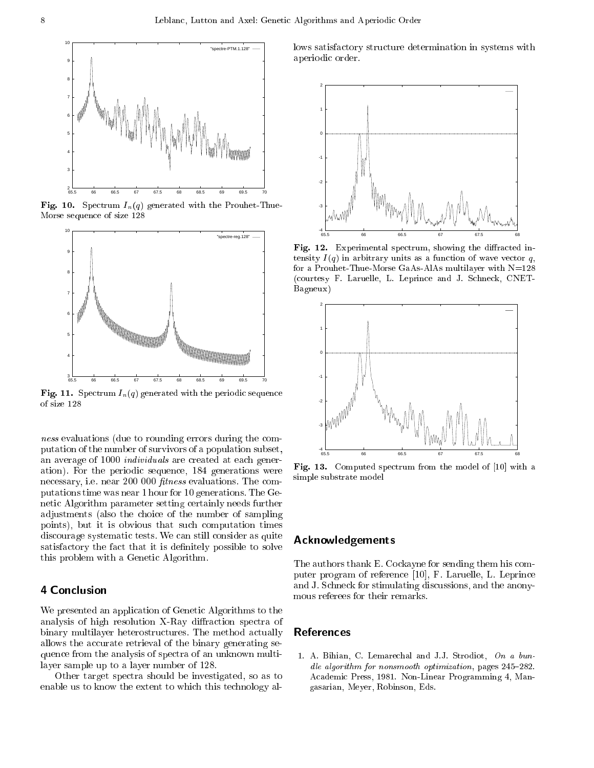

Fig. 10. Spe
trum In(q) generated with the Prouhet-Thue-Morse sequen
e of size 128



e extensive community of the periodic with the periodic completence of size 128

ness evaluations (due to rounding errors during the computation of the number of survivors of a population subset, an average of 1000 *individuals* are created at each generation). For the periodic sequence, 184 generations were necessary, i.e. near 200 000 *fitness* evaluations. The computations time was near 1 hour for 10 generations. The Genetic Algorithm parameter setting certainly needs further adjustments (also the hoi
e of the number of sampling points), but it is obvious that su
h omputation times discourage systematic tests. We can still consider as quite satisfactory the fact that it is definitely possible to solve this problem with a Geneti Algorithm.

## 4 Con
lusion

We presented an application of Genetic Algorithms to the analysis of high resolution X-Ray diffraction spectra of binary multilayer heterostructures. The method actually allows the accurate retrieval of the binary generating sequen
e from the analysis of spe
tra of an unknown multilayer sample up to a layer number of 128.

Other target spectra should be investigated, so as to enable us to know the extent to which this technology allows satisfa
tory stru
ture determination in systems with aperiodi order.



Fig. 12. Experimental spe
trum, showing the dira
ted intensity  $I(q)$  in arbitrary units as a function of wave vector q, for a Prouhet-Thue-Morse GaAs-AlAs multilayer with N=128 (
ourtesy F. Laruelle, L. Leprin
e and J. S
hne
k, CNET-Bagneux)



Fig. 13. Computed spe
trum from the model of [10℄ with a simple substrate model

### **Acknowledgements**

The authors thank E. Cockayne for sending them his computer program of reference [10], F. Laruelle, L. Leprince and J. S
hne
k for stimulating dis
ussions, and the anonymous referees for their remarks.

## **References**

1. A. Bihian, C. Lemare
hal and J.J. Strodiot, On a bundle algorithm for nonsmooth optimization, pages  $245-282$ . A
ademi Press, 1981. Non-Linear Programming 4, Mangasarian, Meyer, Robinson, Eds.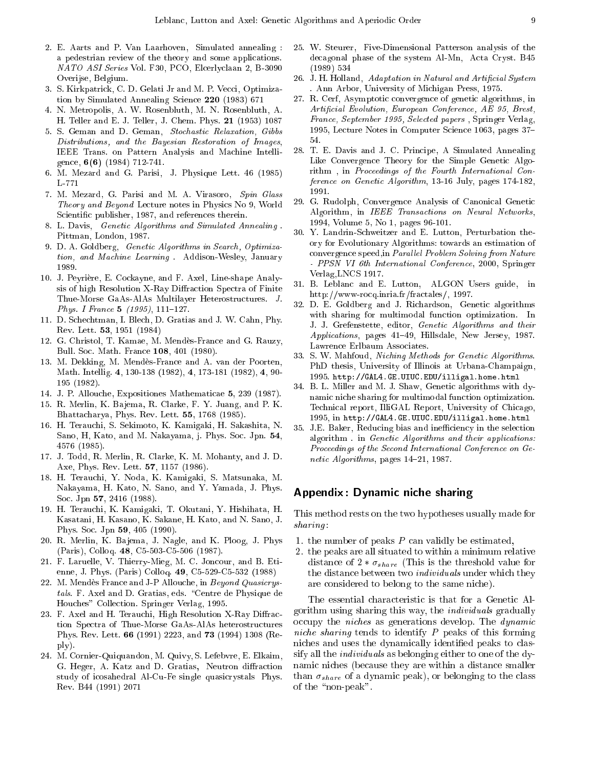- 2. E. Aarts and P. Van Laarhoven, Simulated annealing : a pedestrian review of the theory and some applications. NATO ASI Series Vol. F30, PCO, Elcerlyclaan 2, B-3090 Overijse, Belgium.
- 3. S. Kirkpatrick, C. D. Gelati Jr and M. P. Vecci, Optimization by Simulated Annealing Science 220 (1983) 671
- 4. N. Metropolis, A. W. Rosenbluth, M. N. Rosenbluth, A. H. Teller and E. J. Teller, J. Chem. Phys. 21 (1953) 1087
- 5. S. Geman and D. Geman, Stochastic Relaxation, Gibbs Distributions, and the Bayesian Restoration of Images, IEEE Trans. on Pattern Analysis and Machine Intelligence,  $6(6)$  (1984) 712-741.
- 6. M. Mezard and G. Parisi, J. Physique Lett. 46 (1985) L 771
- 7. M. Mezard, G. Parisi and M. A. Virasoro, Spin Glass Theory and Beyond Lecture notes in Physics No 9, World Scientific publisher, 1987, and references therein.
- 8. L. Davis, Genetic Algorithms and Simulated Annealing. Pittman, London, 1987.
- 9. D. A. Goldberg, Genetic Algorithms in Search, Optimization, and Machine Learning . Addison-Wesley, January 1989.
- 10. J. Peyrière, E. Cockayne, and F. Axel, Line-shape Analysis of high Resolution X-Ray Diffraction Spectra of Finite Thue Morse GaAs AlAs Multilayer Heterostructures. J. Phys. I France 5 (1995), 111-127.
- 11. D. Schechtman, I. Blech, D. Gratias and J. W. Cahn, Phy. Rev. Lett. 53, 1951 (1984)
- 12. G. Christol, T. Kamae, M. Mendès-France and G. Rauzy, Bull. Soc. Math. France 108, 401 (1980).
- 13. M. Dekking, M. Mendès-France and A. van der Poorten, Math. Intellig. 4, 130-138 (1982), 4, 173-181 (1982), 4, 90-195 (1982).
- 14. J. P. Allouche, Expositiones Mathematicae 5, 239 (1987).
- 15. R. Merlin, K. Bajema, R. Clarke, F. Y. Juang, and P. K. Bhattacharya, Phys. Rev. Lett. 55, 1768 (1985).
- 16. H. Terauchi, S. Sekimoto, K. Kamigaki, H. Sakashita, N. Sano, H, Kato, and M. Nakayama, j. Phys. Soc. Jpn. 54, 4576 (1985).
- 17. J. Todd, R. Merlin, R. Clarke, K. M. Mohanty, and J. D. Axe, Phys. Rev. Lett. 57, 1157 (1986).
- 18. H. Terauchi, Y. Noda, K. Kamigaki, S. Matsunaka, M. Nakayama, H. Kato, N. Sano, and Y. Yamada, J. Phys. Soc. Jpn 57, 2416 (1988).
- 19. H. Terauchi, K. Kamigaki, T. Okutani, Y. Hishihata, H. Kasatani, H. Kasano, K. Sakane, H. Kato, and N. Sano, J. Phys. Soc. Jpn 59, 405 (1990).
- 20. R. Merlin, K. Bajema, J. Nagle, and K. Ploog, J. Phys (Paris), Colloq. 48, C5-503-C5-506 (1987).
- 21. F. Laruelle, V. Thierry-Mieg, M. C. Joncour, and B. Etienne, J. Phys. (Paris) Colloq. 49, C5-529-C5-532 (1988)
- 22. M. Mendès France and J-P Allouche, in Beyond Quasicrystals. F. Axel and D. Gratias, eds. "Centre de Physique de Houches" Collection. Springer Verlag, 1995.
- 23. F. Axel and H. Terauchi, High Resolution X-Ray Diffraction Spectra of Thue-Morse GaAs-AlAs heterostructures Phys. Rev. Lett. 66 (1991) 2223, and 73 (1994) 1308 (Reply).
- 24. M. Cornier-Quiquandon, M. Quivy, S. Lefebvre, E. Elkaim, G. Heger, A. Katz and D. Gratias, Neutron diffraction study of icosahedral Al-Cu-Fe single quasicrystals Phys. Rev. B44 (1991) 2071
- 25. W. Steurer, Five-Dimensional Patterson analysis of the decagonal phase of the system Al-Mn, Acta Cryst. B45  $(1989) 534$
- 26. J. H. Holland, Adaptation in Natural and Artificial System . Ann Arbor, University of Michigan Press, 1975.
- 27. R. Cerf, Asymptotic convergence of genetic algorithms, in Artificial Evolution, European Conference, AE 95, Brest, *France, September 1995, Selected papers, Springer Verlag,* 1995, Lecture Notes in Computer Science 1063, pages 37-54.
- 28. T. E. Davis and J. C. Principe, A Simulated Annealing Like Convergence Theory for the Simple Genetic Algorithm, in Proceedings of the Fourth International Conference on Genetic Algorithm, 13-16 July, pages 174-182, 1991.
- 29. G. Rudolph, Convergence Analysis of Canonical Genetic Algorithm, in IEEE Transactions on Neural Networks, 1994, Volume 5, No 1, pages 96-101.
- 30. Y. Landrin-Schweitzer and E. Lutton, Perturbation theory for Evolutionary Algorithms: towards an estimation of convergence speed, in Parallel Problem Solving from Nature - PPSN VI 6th International Conference, 2000, Springer Verlag, LNCS 1917.
- 31. B. Leblanc and E. Lutton, ALGON Users guide, in http://www-rocq.inria.fr/fractales/, 1997.
- 32. D. E. Goldberg and J. Richardson, Genetic algorithms with sharing for multimodal function optimization. In J. J. Grefenstette, editor, Genetic Algorithms and their Applications, pages 41-49, Hillsdale, New Jersey, 1987. Lawrence Erlbaum Associates.
- 33. S. W. Mahfoud, Niching Methods for Genetic Algorithms. PhD thesis, University of Illinois at Urbana-Champaign, 1995. http://GAL4.GE.UIUC.EDU/illigal.home.html
- 34. B. L. Miller and M. J. Shaw, Genetic algorithms with dynamic niche sharing for multimodal function optimization. Technical report, IlliGAL Report, University of Chicago, 1995, in http://GAL4.GE.UIUC.EDU/illigal.home.html
- 35. J.E. Baker, Reducing bias and inefficiency in the selection algorithm. in Genetic Algorithms and their applications: Proceedings of the Second International Conference on Genetic Algorithms, pages 14-21, 1987.

## **Appendix: Dynamic niche sharing**

This method rests on the two hypotheses usually made for  $sharina$ 

- 1. the number of peaks  $P$  can validly be estimated,
- 2. the peaks are all situated to within a minimum relative distance of  $2 * \sigma_{share}$  (This is the threshold value for the distance between two *individuals* under which they are considered to belong to the same niche).

The essential characteristic is that for a Genetic Algorithm using sharing this way, the *individuals* gradually occupy the *niches* as generations develop. The *dynamic niche sharing* tends to identify P peaks of this forming niches and uses the dynamically identified peaks to classify all the *individuals* as belonging either to one of the dynamic niches (because they are within a distance smaller than  $\sigma_{share}$  of a dynamic peak), or belonging to the class of the "non-peak".